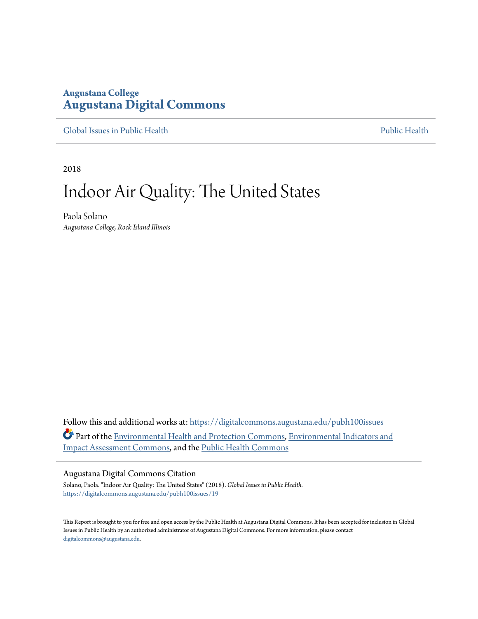## **Augustana College [Augustana Digital Commons](https://digitalcommons.augustana.edu?utm_source=digitalcommons.augustana.edu%2Fpubh100issues%2F19&utm_medium=PDF&utm_campaign=PDFCoverPages)**

[Global Issues in Public Health](https://digitalcommons.augustana.edu/pubh100issues?utm_source=digitalcommons.augustana.edu%2Fpubh100issues%2F19&utm_medium=PDF&utm_campaign=PDFCoverPages) [Public Health](https://digitalcommons.augustana.edu/publichealth?utm_source=digitalcommons.augustana.edu%2Fpubh100issues%2F19&utm_medium=PDF&utm_campaign=PDFCoverPages) Public Health Public Health Public Health

2018

# Indoor Air Quality: The United States

Paola Solano *Augustana College, Rock Island Illinois*

Follow this and additional works at: [https://digitalcommons.augustana.edu/pubh100issues](https://digitalcommons.augustana.edu/pubh100issues?utm_source=digitalcommons.augustana.edu%2Fpubh100issues%2F19&utm_medium=PDF&utm_campaign=PDFCoverPages) Part of the [Environmental Health and Protection Commons,](http://network.bepress.com/hgg/discipline/172?utm_source=digitalcommons.augustana.edu%2Fpubh100issues%2F19&utm_medium=PDF&utm_campaign=PDFCoverPages) [Environmental Indicators and](http://network.bepress.com/hgg/discipline/1015?utm_source=digitalcommons.augustana.edu%2Fpubh100issues%2F19&utm_medium=PDF&utm_campaign=PDFCoverPages) [Impact Assessment Commons](http://network.bepress.com/hgg/discipline/1015?utm_source=digitalcommons.augustana.edu%2Fpubh100issues%2F19&utm_medium=PDF&utm_campaign=PDFCoverPages), and the [Public Health Commons](http://network.bepress.com/hgg/discipline/738?utm_source=digitalcommons.augustana.edu%2Fpubh100issues%2F19&utm_medium=PDF&utm_campaign=PDFCoverPages)

#### Augustana Digital Commons Citation

Solano, Paola. "Indoor Air Quality: The United States" (2018). *Global Issues in Public Health.* [https://digitalcommons.augustana.edu/pubh100issues/19](https://digitalcommons.augustana.edu/pubh100issues/19?utm_source=digitalcommons.augustana.edu%2Fpubh100issues%2F19&utm_medium=PDF&utm_campaign=PDFCoverPages)

This Report is brought to you for free and open access by the Public Health at Augustana Digital Commons. It has been accepted for inclusion in Global Issues in Public Health by an authorized administrator of Augustana Digital Commons. For more information, please contact [digitalcommons@augustana.edu.](mailto:digitalcommons@augustana.edu)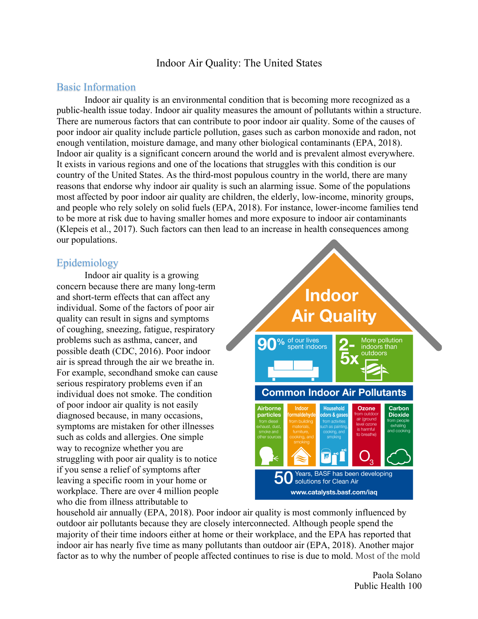## Indoor Air Quality: The United States

#### Basic Information

Indoor air quality is an environmental condition that is becoming more recognized as a public-health issue today. Indoor air quality measures the amount of pollutants within a structure. There are numerous factors that can contribute to poor indoor air quality. Some of the causes of poor indoor air quality include particle pollution, gases such as carbon monoxide and radon, not enough ventilation, moisture damage, and many other biological contaminants (EPA, 2018). Indoor air quality is a significant concern around the world and is prevalent almost everywhere. It exists in various regions and one of the locations that struggles with this condition is our country of the United States. As the third-most populous country in the world, there are many reasons that endorse why indoor air quality is such an alarming issue. Some of the populations most affected by poor indoor air quality are children, the elderly, low-income, minority groups, and people who rely solely on solid fuels (EPA, 2018). For instance, lower-income families tend to be more at risk due to having smaller homes and more exposure to indoor air contaminants (Klepeis et al., 2017). Such factors can then lead to an increase in health consequences among our populations.

#### Epidemiology

Indoor air quality is a growing concern because there are many long-term and short-term effects that can affect any individual. Some of the factors of poor air quality can result in signs and symptoms of coughing, sneezing, fatigue, respiratory problems such as asthma, cancer, and possible death (CDC, 2016). Poor indoor air is spread through the air we breathe in. For example, secondhand smoke can cause serious respiratory problems even if an individual does not smoke. The condition of poor indoor air quality is not easily diagnosed because, in many occasions, symptoms are mistaken for other illnesses such as colds and allergies. One simple way to recognize whether you are struggling with poor air quality is to notice if you sense a relief of symptoms after leaving a specific room in your home or workplace. There are over 4 million people who die from illness attributable to



household air annually (EPA, 2018). Poor indoor air quality is most commonly influenced by outdoor air pollutants because they are closely interconnected. Although people spend the majority of their time indoors either at home or their workplace, and the EPA has reported that indoor air has nearly five time as many pollutants than outdoor air (EPA, 2018). Another major factor as to why the number of people affected continues to rise is due to mold. Most of the mold

> Paola Solano Public Health 100